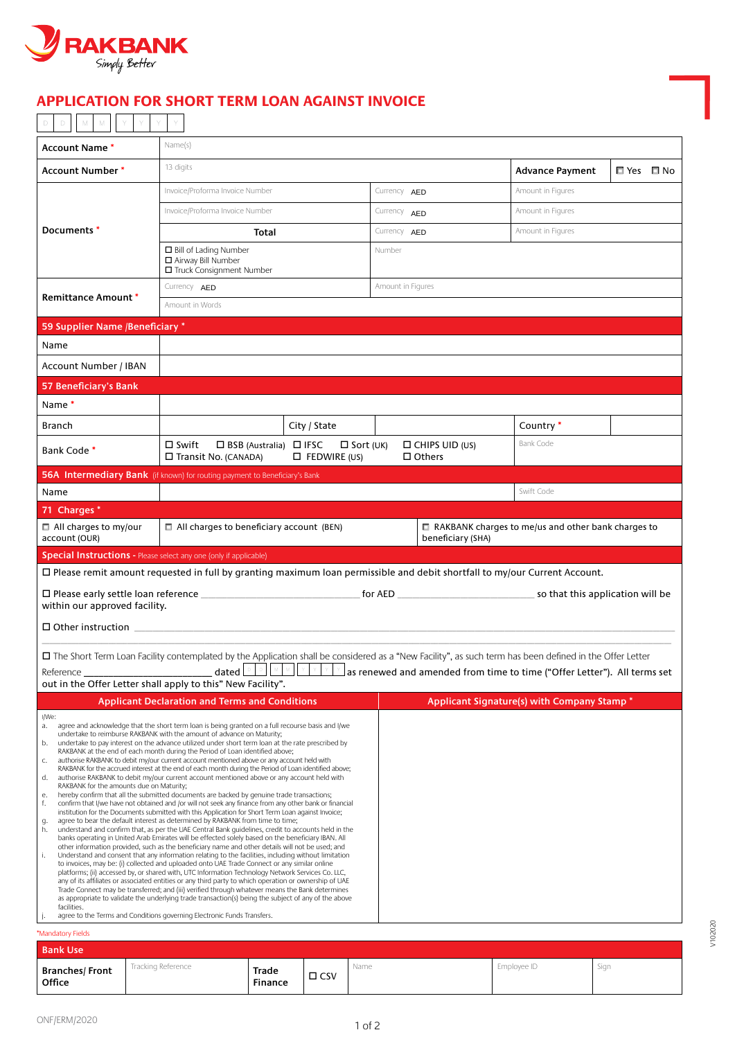

## **INVOICE APPLICATION FOR SHORT TERM LOAN AGAINST INVOICE**

| <b>Account Name *</b>                                                                                                                                     |           | Name(s)                                                                                                                                                                                                                                                                                                                                                                                                                                                                                                                                                                                                                                                                                                                                                                                                                                                                                                                                                                                                                                                                                                                                                                                                                                                                                                                                                                                                                                                                                                                                                                                                                                                                                                                                                                                                                                                                                                                                                                                                                                                                                            |  |                                                             |                   |                  |              |                                        |  |                                                                          |  |            |  |
|-----------------------------------------------------------------------------------------------------------------------------------------------------------|-----------|----------------------------------------------------------------------------------------------------------------------------------------------------------------------------------------------------------------------------------------------------------------------------------------------------------------------------------------------------------------------------------------------------------------------------------------------------------------------------------------------------------------------------------------------------------------------------------------------------------------------------------------------------------------------------------------------------------------------------------------------------------------------------------------------------------------------------------------------------------------------------------------------------------------------------------------------------------------------------------------------------------------------------------------------------------------------------------------------------------------------------------------------------------------------------------------------------------------------------------------------------------------------------------------------------------------------------------------------------------------------------------------------------------------------------------------------------------------------------------------------------------------------------------------------------------------------------------------------------------------------------------------------------------------------------------------------------------------------------------------------------------------------------------------------------------------------------------------------------------------------------------------------------------------------------------------------------------------------------------------------------------------------------------------------------------------------------------------------------|--|-------------------------------------------------------------|-------------------|------------------|--------------|----------------------------------------|--|--------------------------------------------------------------------------|--|------------|--|
| Account Number *                                                                                                                                          | 13 digits |                                                                                                                                                                                                                                                                                                                                                                                                                                                                                                                                                                                                                                                                                                                                                                                                                                                                                                                                                                                                                                                                                                                                                                                                                                                                                                                                                                                                                                                                                                                                                                                                                                                                                                                                                                                                                                                                                                                                                                                                                                                                                                    |  |                                                             |                   |                  |              |                                        |  | <b>Advance Payment</b>                                                   |  | □ Yes □ No |  |
| Documents *                                                                                                                                               |           | Invoice/Proforma Invoice Number                                                                                                                                                                                                                                                                                                                                                                                                                                                                                                                                                                                                                                                                                                                                                                                                                                                                                                                                                                                                                                                                                                                                                                                                                                                                                                                                                                                                                                                                                                                                                                                                                                                                                                                                                                                                                                                                                                                                                                                                                                                                    |  |                                                             |                   |                  | Currency AED |                                        |  | Amount in Figures                                                        |  |            |  |
|                                                                                                                                                           |           | Invoice/Proforma Invoice Number                                                                                                                                                                                                                                                                                                                                                                                                                                                                                                                                                                                                                                                                                                                                                                                                                                                                                                                                                                                                                                                                                                                                                                                                                                                                                                                                                                                                                                                                                                                                                                                                                                                                                                                                                                                                                                                                                                                                                                                                                                                                    |  |                                                             |                   |                  | Currency AED |                                        |  | Amount in Figures                                                        |  |            |  |
|                                                                                                                                                           |           | Total                                                                                                                                                                                                                                                                                                                                                                                                                                                                                                                                                                                                                                                                                                                                                                                                                                                                                                                                                                                                                                                                                                                                                                                                                                                                                                                                                                                                                                                                                                                                                                                                                                                                                                                                                                                                                                                                                                                                                                                                                                                                                              |  |                                                             |                   |                  | Currency AED |                                        |  | Amount in Figures                                                        |  |            |  |
|                                                                                                                                                           |           | □ Bill of Lading Number<br>□ Airway Bill Number                                                                                                                                                                                                                                                                                                                                                                                                                                                                                                                                                                                                                                                                                                                                                                                                                                                                                                                                                                                                                                                                                                                                                                                                                                                                                                                                                                                                                                                                                                                                                                                                                                                                                                                                                                                                                                                                                                                                                                                                                                                    |  |                                                             |                   | Number           |              |                                        |  |                                                                          |  |            |  |
|                                                                                                                                                           |           | □ Truck Consignment Number                                                                                                                                                                                                                                                                                                                                                                                                                                                                                                                                                                                                                                                                                                                                                                                                                                                                                                                                                                                                                                                                                                                                                                                                                                                                                                                                                                                                                                                                                                                                                                                                                                                                                                                                                                                                                                                                                                                                                                                                                                                                         |  |                                                             |                   |                  |              |                                        |  |                                                                          |  |            |  |
| Currency AED<br><b>Remittance Amount *</b><br>Amount in Words                                                                                             |           |                                                                                                                                                                                                                                                                                                                                                                                                                                                                                                                                                                                                                                                                                                                                                                                                                                                                                                                                                                                                                                                                                                                                                                                                                                                                                                                                                                                                                                                                                                                                                                                                                                                                                                                                                                                                                                                                                                                                                                                                                                                                                                    |  |                                                             | Amount in Figures |                  |              |                                        |  |                                                                          |  |            |  |
| 59 Supplier Name /Beneficiary *                                                                                                                           |           |                                                                                                                                                                                                                                                                                                                                                                                                                                                                                                                                                                                                                                                                                                                                                                                                                                                                                                                                                                                                                                                                                                                                                                                                                                                                                                                                                                                                                                                                                                                                                                                                                                                                                                                                                                                                                                                                                                                                                                                                                                                                                                    |  |                                                             |                   |                  |              |                                        |  |                                                                          |  |            |  |
| Name                                                                                                                                                      |           |                                                                                                                                                                                                                                                                                                                                                                                                                                                                                                                                                                                                                                                                                                                                                                                                                                                                                                                                                                                                                                                                                                                                                                                                                                                                                                                                                                                                                                                                                                                                                                                                                                                                                                                                                                                                                                                                                                                                                                                                                                                                                                    |  |                                                             |                   |                  |              |                                        |  |                                                                          |  |            |  |
| Account Number / IBAN                                                                                                                                     |           |                                                                                                                                                                                                                                                                                                                                                                                                                                                                                                                                                                                                                                                                                                                                                                                                                                                                                                                                                                                                                                                                                                                                                                                                                                                                                                                                                                                                                                                                                                                                                                                                                                                                                                                                                                                                                                                                                                                                                                                                                                                                                                    |  |                                                             |                   |                  |              |                                        |  |                                                                          |  |            |  |
| 57 Beneficiary's Bank                                                                                                                                     |           |                                                                                                                                                                                                                                                                                                                                                                                                                                                                                                                                                                                                                                                                                                                                                                                                                                                                                                                                                                                                                                                                                                                                                                                                                                                                                                                                                                                                                                                                                                                                                                                                                                                                                                                                                                                                                                                                                                                                                                                                                                                                                                    |  |                                                             |                   |                  |              |                                        |  |                                                                          |  |            |  |
| Name*                                                                                                                                                     |           |                                                                                                                                                                                                                                                                                                                                                                                                                                                                                                                                                                                                                                                                                                                                                                                                                                                                                                                                                                                                                                                                                                                                                                                                                                                                                                                                                                                                                                                                                                                                                                                                                                                                                                                                                                                                                                                                                                                                                                                                                                                                                                    |  |                                                             |                   |                  |              |                                        |  |                                                                          |  |            |  |
| Branch                                                                                                                                                    |           |                                                                                                                                                                                                                                                                                                                                                                                                                                                                                                                                                                                                                                                                                                                                                                                                                                                                                                                                                                                                                                                                                                                                                                                                                                                                                                                                                                                                                                                                                                                                                                                                                                                                                                                                                                                                                                                                                                                                                                                                                                                                                                    |  | City / State                                                |                   |                  |              |                                        |  | Country *                                                                |  |            |  |
| Bank Code*                                                                                                                                                |           | $\square$ Swift<br>□ Transit No. (CANADA)                                                                                                                                                                                                                                                                                                                                                                                                                                                                                                                                                                                                                                                                                                                                                                                                                                                                                                                                                                                                                                                                                                                                                                                                                                                                                                                                                                                                                                                                                                                                                                                                                                                                                                                                                                                                                                                                                                                                                                                                                                                          |  | □ BSB (Australia) □ IFSC<br>$\Box$ FEDWIRE (US)             |                   | $\Box$ Sort (UK) |              | $\Box$ CHIPS UID (US)<br>$\Box$ Others |  | <b>Bank Code</b>                                                         |  |            |  |
| 56A Intermediary Bank (if known) for routing payment to Beneficiary's Bank                                                                                |           |                                                                                                                                                                                                                                                                                                                                                                                                                                                                                                                                                                                                                                                                                                                                                                                                                                                                                                                                                                                                                                                                                                                                                                                                                                                                                                                                                                                                                                                                                                                                                                                                                                                                                                                                                                                                                                                                                                                                                                                                                                                                                                    |  |                                                             |                   |                  |              |                                        |  |                                                                          |  |            |  |
| Name                                                                                                                                                      |           |                                                                                                                                                                                                                                                                                                                                                                                                                                                                                                                                                                                                                                                                                                                                                                                                                                                                                                                                                                                                                                                                                                                                                                                                                                                                                                                                                                                                                                                                                                                                                                                                                                                                                                                                                                                                                                                                                                                                                                                                                                                                                                    |  |                                                             |                   |                  |              |                                        |  | Swift Code                                                               |  |            |  |
| 71 Charges *                                                                                                                                              |           |                                                                                                                                                                                                                                                                                                                                                                                                                                                                                                                                                                                                                                                                                                                                                                                                                                                                                                                                                                                                                                                                                                                                                                                                                                                                                                                                                                                                                                                                                                                                                                                                                                                                                                                                                                                                                                                                                                                                                                                                                                                                                                    |  |                                                             |                   |                  |              |                                        |  |                                                                          |  |            |  |
| □ All charges to my/our<br>$\Box$ All charges to beneficiary account (BEN)<br>account (OUR)                                                               |           |                                                                                                                                                                                                                                                                                                                                                                                                                                                                                                                                                                                                                                                                                                                                                                                                                                                                                                                                                                                                                                                                                                                                                                                                                                                                                                                                                                                                                                                                                                                                                                                                                                                                                                                                                                                                                                                                                                                                                                                                                                                                                                    |  |                                                             | beneficiary (SHA) |                  |              |                                        |  | $\Box$ RAKBANK charges to me/us and other bank charges to                |  |            |  |
|                                                                                                                                                           |           |                                                                                                                                                                                                                                                                                                                                                                                                                                                                                                                                                                                                                                                                                                                                                                                                                                                                                                                                                                                                                                                                                                                                                                                                                                                                                                                                                                                                                                                                                                                                                                                                                                                                                                                                                                                                                                                                                                                                                                                                                                                                                                    |  |                                                             |                   |                  |              |                                        |  |                                                                          |  |            |  |
| <b>Special Instructions - Please select any one (only if applicable)</b>                                                                                  |           |                                                                                                                                                                                                                                                                                                                                                                                                                                                                                                                                                                                                                                                                                                                                                                                                                                                                                                                                                                                                                                                                                                                                                                                                                                                                                                                                                                                                                                                                                                                                                                                                                                                                                                                                                                                                                                                                                                                                                                                                                                                                                                    |  |                                                             |                   |                  |              |                                        |  |                                                                          |  |            |  |
| $\Box$ Please remit amount requested in full by granting maximum loan permissible and debit shortfall to my/our Current Account.                          |           |                                                                                                                                                                                                                                                                                                                                                                                                                                                                                                                                                                                                                                                                                                                                                                                                                                                                                                                                                                                                                                                                                                                                                                                                                                                                                                                                                                                                                                                                                                                                                                                                                                                                                                                                                                                                                                                                                                                                                                                                                                                                                                    |  |                                                             |                   |                  |              |                                        |  |                                                                          |  |            |  |
| within our approved facility.                                                                                                                             |           |                                                                                                                                                                                                                                                                                                                                                                                                                                                                                                                                                                                                                                                                                                                                                                                                                                                                                                                                                                                                                                                                                                                                                                                                                                                                                                                                                                                                                                                                                                                                                                                                                                                                                                                                                                                                                                                                                                                                                                                                                                                                                                    |  |                                                             |                   |                  |              |                                        |  |                                                                          |  |            |  |
|                                                                                                                                                           |           |                                                                                                                                                                                                                                                                                                                                                                                                                                                                                                                                                                                                                                                                                                                                                                                                                                                                                                                                                                                                                                                                                                                                                                                                                                                                                                                                                                                                                                                                                                                                                                                                                                                                                                                                                                                                                                                                                                                                                                                                                                                                                                    |  |                                                             |                   |                  |              |                                        |  |                                                                          |  |            |  |
| □ The Short Term Loan Facility contemplated by the Application shall be considered as a "New Facility", as such term has been defined in the Offer Letter |           |                                                                                                                                                                                                                                                                                                                                                                                                                                                                                                                                                                                                                                                                                                                                                                                                                                                                                                                                                                                                                                                                                                                                                                                                                                                                                                                                                                                                                                                                                                                                                                                                                                                                                                                                                                                                                                                                                                                                                                                                                                                                                                    |  |                                                             |                   |                  |              |                                        |  |                                                                          |  |            |  |
| Reference                                                                                                                                                 |           | dated $\boxed{\circ \quad}$ $\boxed{\circ \quad}$                                                                                                                                                                                                                                                                                                                                                                                                                                                                                                                                                                                                                                                                                                                                                                                                                                                                                                                                                                                                                                                                                                                                                                                                                                                                                                                                                                                                                                                                                                                                                                                                                                                                                                                                                                                                                                                                                                                                                                                                                                                  |  | $\vert$ $\times$ $\vert$<br>$\mathbb{M}$ .<br>$\mathbb {Y}$ | $\times$ .        |                  |              |                                        |  | as renewed and amended from time to time ("Offer Letter"). All terms set |  |            |  |
| out in the Offer Letter shall apply to this" New Facility".                                                                                               |           | <b>Applicant Declaration and Terms and Conditions</b>                                                                                                                                                                                                                                                                                                                                                                                                                                                                                                                                                                                                                                                                                                                                                                                                                                                                                                                                                                                                                                                                                                                                                                                                                                                                                                                                                                                                                                                                                                                                                                                                                                                                                                                                                                                                                                                                                                                                                                                                                                              |  |                                                             |                   |                  |              |                                        |  | Applicant Signature(s) with Company Stamp *                              |  |            |  |
| I/We:<br>a.<br>b.<br>C.<br>d.<br>RAKBANK for the amounts due on Maturity;<br>е.<br>f.<br>g.<br>h.<br>i.<br>facilities.                                    |           | agree and acknowledge that the short term loan is being granted on a full recourse basis and I/we<br>undertake to reimburse RAKBANK with the amount of advance on Maturity;<br>undertake to pay interest on the advance utilized under short term loan at the rate prescribed by<br>RAKBANK at the end of each month during the Period of Loan identified above;<br>authorise RAKBANK to debit my/our current account mentioned above or any account held with<br>RAKBANK for the accrued interest at the end of each month during the Period of Loan identified above;<br>authorise RAKBANK to debit my/our current account mentioned above or any account held with<br>hereby confirm that all the submitted documents are backed by genuine trade transactions;<br>confirm that I/we have not obtained and /or will not seek any finance from any other bank or financial<br>institution for the Documents submitted with this Application for Short Term Loan against Invoice;<br>agree to bear the default interest as determined by RAKBANK from time to time;<br>understand and confirm that, as per the UAE Central Bank guidelines, credit to accounts held in the<br>banks operating in United Arab Emirates will be effected solely based on the beneficiary IBAN. All<br>other information provided, such as the beneficiary name and other details will not be used; and<br>Understand and consent that any information relating to the facilities, including without limitation<br>to invoices, may be: (i) collected and uploaded onto UAE Trade Connect or any similar online<br>platforms; (ii) accessed by, or shared with, UTC Information Technology Network Services Co. LLC,<br>any of its affiliates or associated entities or any third party to which operation or ownership of UAE<br>Trade Connect may be transferred; and (iii) verified through whatever means the Bank determines<br>as appropriate to validate the underlying trade transaction(s) being the subject of any of the above<br>agree to the Terms and Conditions governing Electronic Funds Transfers. |  |                                                             |                   |                  |              |                                        |  |                                                                          |  |            |  |
| *Mandatory Fields<br><b>Bank Use</b>                                                                                                                      |           |                                                                                                                                                                                                                                                                                                                                                                                                                                                                                                                                                                                                                                                                                                                                                                                                                                                                                                                                                                                                                                                                                                                                                                                                                                                                                                                                                                                                                                                                                                                                                                                                                                                                                                                                                                                                                                                                                                                                                                                                                                                                                                    |  |                                                             |                   |                  |              |                                        |  |                                                                          |  |            |  |

**Office**

**Branches/Front** 

 $\square$  CSV

**Finance**

102020VV102020